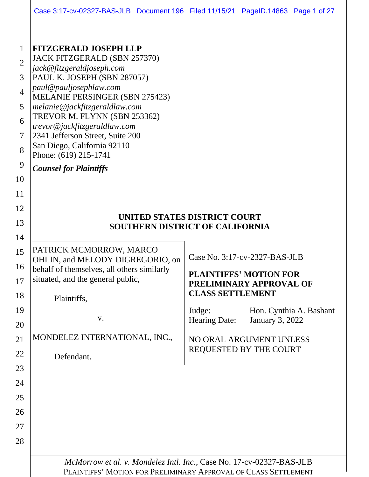| Case 3:17-cv-02327-BAS-JLB Document 196 Filed 11/15/21 PageID.14863 Page 1 of 27 |  |  |  |  |
|----------------------------------------------------------------------------------|--|--|--|--|
|----------------------------------------------------------------------------------|--|--|--|--|

| 1              | <b>FITZGERALD JOSEPH LLP</b>                                         |                         |                                                   |  |  |
|----------------|----------------------------------------------------------------------|-------------------------|---------------------------------------------------|--|--|
| $\overline{2}$ | JACK FITZGERALD (SBN 257370)<br>jack@fitzgeraldjoseph.com            |                         |                                                   |  |  |
| 3              | PAUL K. JOSEPH (SBN 287057)                                          |                         |                                                   |  |  |
| $\overline{4}$ | paul@pauljosephlaw.com<br><b>MELANIE PERSINGER (SBN 275423)</b>      |                         |                                                   |  |  |
| 5              | melanie@jackfitzgeraldlaw.com                                        |                         |                                                   |  |  |
| 6              | TREVOR M. FLYNN (SBN 253362)<br>trevor@jackfitzgeraldlaw.com         |                         |                                                   |  |  |
| 7              | 2341 Jefferson Street, Suite 200                                     |                         |                                                   |  |  |
| 8              | San Diego, California 92110<br>Phone: (619) 215-1741                 |                         |                                                   |  |  |
| 9              | <b>Counsel for Plaintiffs</b>                                        |                         |                                                   |  |  |
| 10             |                                                                      |                         |                                                   |  |  |
| 11             |                                                                      |                         |                                                   |  |  |
| 12             | UNITED STATES DISTRICT COURT                                         |                         |                                                   |  |  |
| 13             | <b>SOUTHERN DISTRICT OF CALIFORNIA</b>                               |                         |                                                   |  |  |
| 14             |                                                                      |                         |                                                   |  |  |
| 15             | PATRICK MCMORROW, MARCO<br>OHLIN, and MELODY DIGREGORIO, on          |                         | Case No. 3:17-cv-2327-BAS-JLB                     |  |  |
| 16             | behalf of themselves, all others similarly                           |                         | <b>PLAINTIFFS' MOTION FOR</b>                     |  |  |
| 17             | situated, and the general public,                                    |                         | PRELIMINARY APPROVAL OF                           |  |  |
| 18             | Plaintiffs,                                                          | <b>CLASS SETTLEMENT</b> |                                                   |  |  |
| 19             | V.                                                                   | Judge:<br>Hearing Date: | Hon. Cynthia A. Bashant<br><b>January 3, 2022</b> |  |  |
| 20             |                                                                      |                         |                                                   |  |  |
| 21             | MONDELEZ INTERNATIONAL, INC.,                                        |                         | NO ORAL ARGUMENT UNLESS<br>REQUESTED BY THE COURT |  |  |
| 22             | Defendant.                                                           |                         |                                                   |  |  |
| 23             |                                                                      |                         |                                                   |  |  |
| 24             |                                                                      |                         |                                                   |  |  |
| 25             |                                                                      |                         |                                                   |  |  |
| 26             |                                                                      |                         |                                                   |  |  |
| 27             |                                                                      |                         |                                                   |  |  |
| 28             |                                                                      |                         |                                                   |  |  |
|                | McMorrow et al. v. Mondelez Intl. Inc., Case No. 17-cv-02327-BAS-JLB |                         |                                                   |  |  |
|                | PLAINTIFFS' MOTION FOR PRELIMINARY APPROVAL OF CLASS SETTLEMENT      |                         |                                                   |  |  |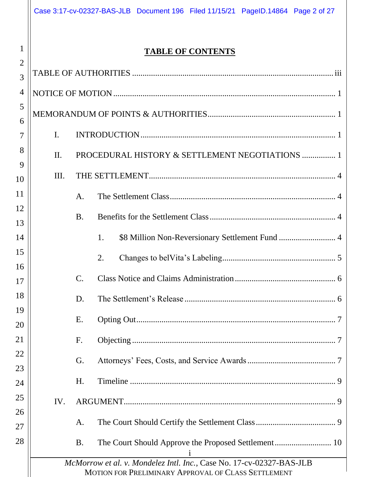|                     |                | Case 3:17-cv-02327-BAS-JLB Document 196 Filed 11/15/21 PageID.14864 Page 2 of 27                                            |
|---------------------|----------------|-----------------------------------------------------------------------------------------------------------------------------|
| 1<br>$\overline{2}$ |                | <b>TABLE OF CONTENTS</b>                                                                                                    |
| 3                   |                |                                                                                                                             |
| 4                   |                |                                                                                                                             |
| 5<br>6              |                |                                                                                                                             |
| 7                   | $\mathbf{I}$ . |                                                                                                                             |
| 8<br>9              | $\Pi$ .        | PROCEDURAL HISTORY & SETTLEMENT NEGOTIATIONS  1                                                                             |
| 10                  | III.           |                                                                                                                             |
| 11                  |                | A.                                                                                                                          |
| 12<br>13            |                | <b>B.</b>                                                                                                                   |
| 14                  |                | 1.                                                                                                                          |
| 15<br>16            |                | 2.                                                                                                                          |
| 17                  |                | $\mathcal{C}$ .                                                                                                             |
| 18                  |                | D.                                                                                                                          |
| 19<br>20            |                | E.                                                                                                                          |
| 21                  |                | F.                                                                                                                          |
| 22<br>23            |                | G.                                                                                                                          |
| 24                  |                | H.                                                                                                                          |
| 25<br>26            | IV.            |                                                                                                                             |
| 27                  |                | A.                                                                                                                          |
| 28                  |                | <b>B.</b><br>1                                                                                                              |
|                     |                | McMorrow et al. v. Mondelez Intl. Inc., Case No. 17-cv-02327-BAS-JLB<br>MOTION FOR PRELIMINARY APPROVAL OF CLASS SETTLEMENT |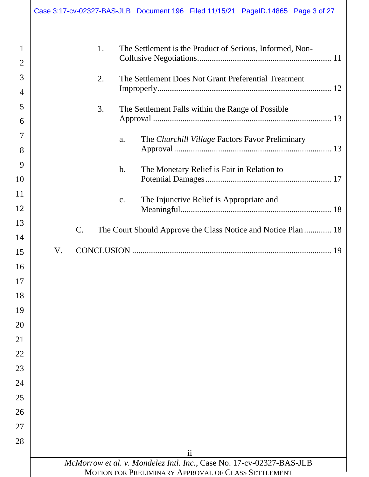|                     |    |                 |    |       | Case 3:17-cv-02327-BAS-JLB Document 196 Filed 11/15/21 PageID.14865 Page 3 of 27 |  |
|---------------------|----|-----------------|----|-------|----------------------------------------------------------------------------------|--|
| 1<br>$\overline{2}$ |    |                 | 1. |       | The Settlement is the Product of Serious, Informed, Non-                         |  |
| 3                   |    |                 |    |       |                                                                                  |  |
| $\overline{4}$      |    |                 | 2. |       | The Settlement Does Not Grant Preferential Treatment                             |  |
| 5                   |    |                 |    |       |                                                                                  |  |
| 6                   |    |                 | 3. |       | The Settlement Falls within the Range of Possible                                |  |
| 7                   |    |                 |    |       |                                                                                  |  |
| 8                   |    |                 |    | a.    | The Churchill Village Factors Favor Preliminary                                  |  |
| 9                   |    |                 |    |       |                                                                                  |  |
| 10                  |    |                 |    | $b$ . | The Monetary Relief is Fair in Relation to                                       |  |
| 11                  |    |                 |    |       |                                                                                  |  |
| 12                  |    |                 |    | c.    | The Injunctive Relief is Appropriate and                                         |  |
| 13                  |    |                 |    |       |                                                                                  |  |
| 14                  |    | $\mathcal{C}$ . |    |       | The Court Should Approve the Class Notice and Notice Plan  18                    |  |
| 15                  | V. |                 |    |       |                                                                                  |  |
| 16                  |    |                 |    |       |                                                                                  |  |
| 17                  |    |                 |    |       |                                                                                  |  |
| 18                  |    |                 |    |       |                                                                                  |  |
| 19                  |    |                 |    |       |                                                                                  |  |
| 20                  |    |                 |    |       |                                                                                  |  |
| 21                  |    |                 |    |       |                                                                                  |  |
| 22                  |    |                 |    |       |                                                                                  |  |
| 23                  |    |                 |    |       |                                                                                  |  |
| 24                  |    |                 |    |       |                                                                                  |  |
| 25                  |    |                 |    |       |                                                                                  |  |
| 26                  |    |                 |    |       |                                                                                  |  |
| 27                  |    |                 |    |       |                                                                                  |  |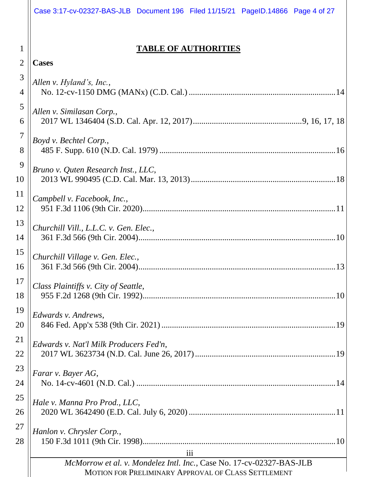<span id="page-3-0"></span>

|                | Case 3:17-cv-02327-BAS-JLB Document 196 Filed 11/15/21 PageID.14866 Page 4 of 27 |  |
|----------------|----------------------------------------------------------------------------------|--|
|                |                                                                                  |  |
| 1              | <b>TABLE OF AUTHORITIES</b>                                                      |  |
| $\overline{2}$ | <b>Cases</b>                                                                     |  |
| 3              | Allen v. Hyland's, Inc.,                                                         |  |
| $\overline{4}$ |                                                                                  |  |
| 5<br>6         | Allen v. Similasan Corp.,                                                        |  |
| 7              |                                                                                  |  |
| 8              | Boyd v. Bechtel Corp.,                                                           |  |
| 9              | Bruno v. Quten Research Inst., LLC,                                              |  |
| 10             |                                                                                  |  |
| 11             | Campbell v. Facebook, Inc.,                                                      |  |
| 12             |                                                                                  |  |
| 13             | Churchill Vill., L.L.C. v. Gen. Elec.,                                           |  |
| 14             |                                                                                  |  |
| 15             | Churchill Village v. Gen. Elec.,                                                 |  |
| 16             | 13                                                                               |  |
| 17             | Class Plaintiffs v. City of Seattle,                                             |  |
| 18             |                                                                                  |  |
| 19             | Edwards v. Andrews,                                                              |  |
| 20             |                                                                                  |  |
| 21             | Edwards v. Nat'l Milk Producers Fed'n,                                           |  |
| 22             |                                                                                  |  |
| 23             | Farar v. Bayer AG,                                                               |  |
| 24             |                                                                                  |  |
| 25             | Hale v. Manna Pro Prod., LLC,                                                    |  |
| 26             |                                                                                  |  |
| 27             | Hanlon v. Chrysler Corp.,                                                        |  |
| 28             |                                                                                  |  |
|                | iii<br>McMorrow et al. v. Mondelez Intl. Inc., Case No. 17-cv-02327-BAS-JLB      |  |
|                | MOTION FOR PRELIMINARY APPROVAL OF CLASS SETTLEMENT                              |  |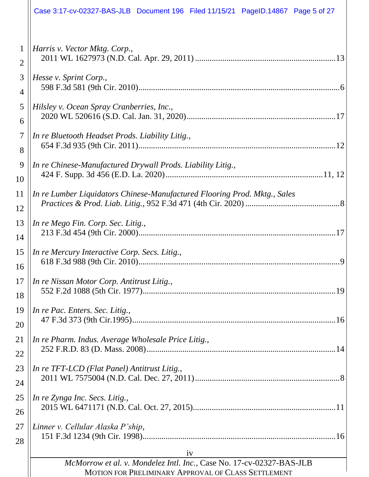|                | Case 3:17-cv-02327-BAS-JLB Document 196 Filed 11/15/21 PageID.14867 Page 5 of 27                                                  |
|----------------|-----------------------------------------------------------------------------------------------------------------------------------|
| $\mathbf 1$    | Harris v. Vector Mktg. Corp.,                                                                                                     |
| $\overline{2}$ |                                                                                                                                   |
| 3              | Hesse v. Sprint Corp.,                                                                                                            |
| $\overline{4}$ |                                                                                                                                   |
| 5              | Hilsley v. Ocean Spray Cranberries, Inc.,                                                                                         |
| 6              |                                                                                                                                   |
| $\tau$         | In re Bluetooth Headset Prods. Liability Litig.,                                                                                  |
| 8              |                                                                                                                                   |
| 9              | In re Chinese-Manufactured Drywall Prods. Liability Litig.,                                                                       |
| 10             |                                                                                                                                   |
| 11             | In re Lumber Liquidators Chinese-Manufactured Flooring Prod. Mktg., Sales                                                         |
| 12             |                                                                                                                                   |
| 13             | In re Mego Fin. Corp. Sec. Litig.,                                                                                                |
| 14             |                                                                                                                                   |
| 15<br>16       | In re Mercury Interactive Corp. Secs. Litig.,<br>9                                                                                |
| 17             | In re Nissan Motor Corp. Antitrust Litig.,                                                                                        |
| 18             |                                                                                                                                   |
| 19             | In re Pac. Enters. Sec. Litig.,                                                                                                   |
| 20             |                                                                                                                                   |
| 21             | In re Pharm. Indus. Average Wholesale Price Litig.,                                                                               |
| 22             |                                                                                                                                   |
| 23             | In re TFT-LCD (Flat Panel) Antitrust Litig.,                                                                                      |
| 24             |                                                                                                                                   |
| 25             | In re Zynga Inc. Secs. Litig.,                                                                                                    |
| 26             |                                                                                                                                   |
| 27             | Linner v. Cellular Alaska P'ship,                                                                                                 |
| 28             |                                                                                                                                   |
|                | iv<br>McMorrow et al. v. Mondelez Intl. Inc., Case No. 17-cv-02327-BAS-JLB<br>MOTION FOR PRELIMINARY APPROVAL OF CLASS SETTLEMENT |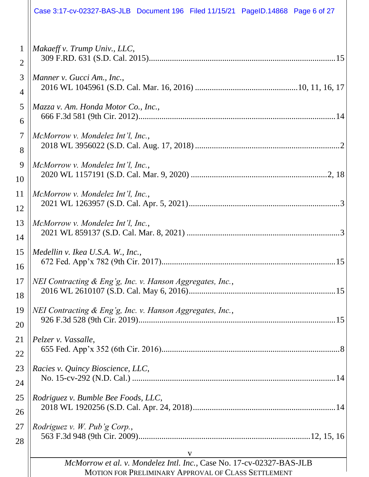|                | Case 3:17-cv-02327-BAS-JLB Document 196 Filed 11/15/21 PageID.14868 Page 6 of 27                                                 |
|----------------|----------------------------------------------------------------------------------------------------------------------------------|
| 1              | Makaeff v. Trump Univ., LLC,                                                                                                     |
| $\overline{2}$ |                                                                                                                                  |
| 3              | Manner v. Gucci Am., Inc.,                                                                                                       |
| 4              |                                                                                                                                  |
| 5              | Mazza v. Am. Honda Motor Co., Inc.,                                                                                              |
| 6              |                                                                                                                                  |
| $\overline{7}$ | McMorrow v. Mondelez Int'l, Inc.,                                                                                                |
| 8              |                                                                                                                                  |
| 9              | McMorrow v. Mondelez Int'l, Inc.,                                                                                                |
| 10             |                                                                                                                                  |
| 11             | McMorrow v. Mondelez Int'l, Inc.,                                                                                                |
| 12             |                                                                                                                                  |
| 13             | McMorrow v. Mondelez Int'l, Inc.,                                                                                                |
| 14             |                                                                                                                                  |
| 15             | Medellin v. Ikea U.S.A. W., Inc.,                                                                                                |
| 16             |                                                                                                                                  |
| 17             | NEI Contracting & Eng'g, Inc. v. Hanson Aggregates, Inc.,                                                                        |
| 18             |                                                                                                                                  |
| 19             | NEI Contracting & Eng'g, Inc. v. Hanson Aggregates, Inc.,                                                                        |
| 20             |                                                                                                                                  |
| 21             | Pelzer v. Vassalle,                                                                                                              |
| 22             |                                                                                                                                  |
| 23             | Racies v. Quincy Bioscience, LLC,                                                                                                |
| 24             |                                                                                                                                  |
| 25             | Rodriguez v. Bumble Bee Foods, LLC,                                                                                              |
| 26             |                                                                                                                                  |
| 27             | Rodriguez v. W. Pub'g Corp.,                                                                                                     |
| 28             |                                                                                                                                  |
|                | V<br>McMorrow et al. v. Mondelez Intl. Inc., Case No. 17-cv-02327-BAS-JLB<br>MOTION FOR PRELIMINARY APPROVAL OF CLASS SETTLEMENT |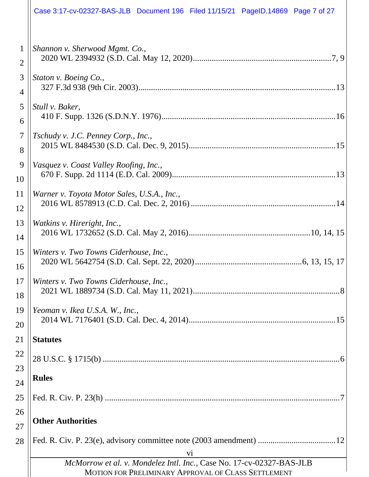|                | Case 3:17-cv-02327-BAS-JLB Document 196 Filed 11/15/21 PageID.14869 Page 7 of 27                                            |
|----------------|-----------------------------------------------------------------------------------------------------------------------------|
| 1              | Shannon v. Sherwood Mgmt. Co.,                                                                                              |
| $\overline{2}$ |                                                                                                                             |
| 3              | Staton v. Boeing Co.,                                                                                                       |
| 4              |                                                                                                                             |
| 5              | Stull v. Baker,                                                                                                             |
| 6              |                                                                                                                             |
| $\overline{7}$ | Tschudy v. J.C. Penney Corp., Inc.,                                                                                         |
| 8              |                                                                                                                             |
| 9              | Vasquez v. Coast Valley Roofing, Inc.,                                                                                      |
| 10             |                                                                                                                             |
| 11             | Warner v. Toyota Motor Sales, U.S.A., Inc.,                                                                                 |
| 12             |                                                                                                                             |
| 13             | Watkins v. Hireright, Inc.,                                                                                                 |
| 14             |                                                                                                                             |
| 15             | Winters v. Two Towns Ciderhouse, Inc.,                                                                                      |
| 16             |                                                                                                                             |
| 17             | Winters v. Two Towns Ciderhouse, Inc.,                                                                                      |
| 18             |                                                                                                                             |
| 19             | Yeoman v. Ikea U.S.A. W., Inc.,                                                                                             |
| 20             |                                                                                                                             |
| 21             | <b>Statutes</b>                                                                                                             |
| 22<br>23       |                                                                                                                             |
| 24             | <b>Rules</b>                                                                                                                |
| 25             |                                                                                                                             |
| 26             | <b>Other Authorities</b>                                                                                                    |
| 27             |                                                                                                                             |
| 28             | vi                                                                                                                          |
|                | McMorrow et al. v. Mondelez Intl. Inc., Case No. 17-cv-02327-BAS-JLB<br>MOTION FOR PRELIMINARY APPROVAL OF CLASS SETTLEMENT |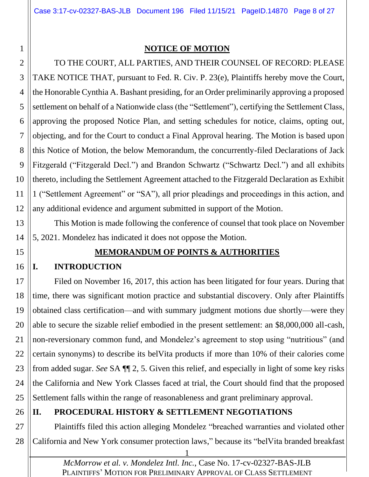#### **NOTICE OF MOTION**

2 3 4 5 6 7 8 9 10 11 12 TO THE COURT, ALL PARTIES, AND THEIR COUNSEL OF RECORD: PLEASE TAKE NOTICE THAT, pursuant to Fed. R. Civ. P. 23(e), Plaintiffs hereby move the Court, the Honorable Cynthia A. Bashant presiding, for an Order preliminarily approving a proposed settlement on behalf of a Nationwide class (the "Settlement"), certifying the Settlement Class, approving the proposed Notice Plan, and setting schedules for notice, claims, opting out, objecting, and for the Court to conduct a Final Approval hearing. The Motion is based upon this Notice of Motion, the below Memorandum, the concurrently-filed Declarations of Jack Fitzgerald ("Fitzgerald Decl.") and Brandon Schwartz ("Schwartz Decl.") and all exhibits thereto, including the Settlement Agreement attached to the Fitzgerald Declaration as Exhibit 1 ("Settlement Agreement" or "SA"), all prior pleadings and proceedings in this action, and any additional evidence and argument submitted in support of the Motion.

13 14 This Motion is made following the conference of counsel that took place on November 5, 2021. Mondelez has indicated it does not oppose the Motion.

<span id="page-7-1"></span>15

<span id="page-7-0"></span>1

#### **MEMORANDUM OF POINTS & AUTHORITIES**

#### <span id="page-7-2"></span>16 **I. INTRODUCTION**

17 18 19 20 21 22 23 24 25 Filed on November 16, 2017, this action has been litigated for four years. During that time, there was significant motion practice and substantial discovery. Only after Plaintiffs obtained class certification—and with summary judgment motions due shortly—were they able to secure the sizable relief embodied in the present settlement: an \$8,000,000 all-cash, non-reversionary common fund, and Mondelez's agreement to stop using "nutritious" (and certain synonyms) to describe its belVita products if more than 10% of their calories come from added sugar. *See* SA ¶¶ 2, 5. Given this relief, and especially in light of some key risks the California and New York Classes faced at trial, the Court should find that the proposed Settlement falls within the range of reasonableness and grant preliminary approval.

#### <span id="page-7-3"></span>26 **II. PROCEDURAL HISTORY & SETTLEMENT NEGOTIATIONS**

27 28 Plaintiffs filed this action alleging Mondelez "breached warranties and violated other California and New York consumer protection laws," because its "belVita branded breakfast

> *McMorrow et al. v. Mondelez Intl. Inc.*, Case No. 17-cv-02327-BAS-JLB PLAINTIFFS' MOTION FOR PRELIMINARY APPROVAL OF CLASS SETTLEMENT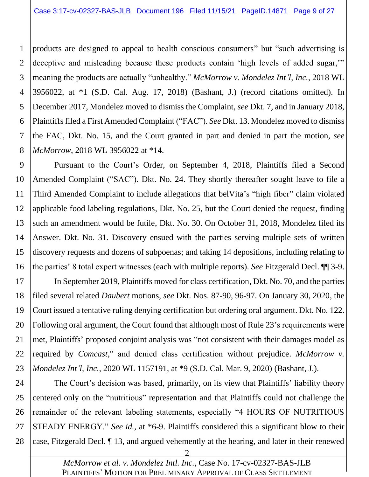1 2 3 4 5 6 7 8 products are designed to appeal to health conscious consumers" but "such advertising is deceptive and misleading because these products contain 'high levels of added sugar," meaning the products are actually "unhealthy." *McMorrow v. Mondelez Int'l, Inc.*, 2018 WL 3956022, at \*1 (S.D. Cal. Aug. 17, 2018) (Bashant, J.) (record citations omitted). In December 2017, Mondelez moved to dismiss the Complaint, *see* Dkt. 7, and in January 2018, Plaintiffs filed a First Amended Complaint ("FAC"). *See* Dkt. 13. Mondelez moved to dismiss the FAC, Dkt. No. 15, and the Court granted in part and denied in part the motion, *see McMorrow*, 2018 WL 3956022 at \*14.

9 10 11 12 13 14 15 16 Pursuant to the Court's Order, on September 4, 2018, Plaintiffs filed a Second Amended Complaint ("SAC"). Dkt. No. 24. They shortly thereafter sought leave to file a Third Amended Complaint to include allegations that belVita's "high fiber" claim violated applicable food labeling regulations, Dkt. No. 25, but the Court denied the request, finding such an amendment would be futile, Dkt. No. 30. On October 31, 2018, Mondelez filed its Answer. Dkt. No. 31. Discovery ensued with the parties serving multiple sets of written discovery requests and dozens of subpoenas; and taking 14 depositions, including relating to the parties' 8 total expert witnesses (each with multiple reports). *See* Fitzgerald Decl. ¶¶ 3-9.

17 18 19 20 21 22 23 In September 2019, Plaintiffs moved for class certification, Dkt. No. 70, and the parties filed several related *Daubert* motions, *see* Dkt. Nos. 87-90, 96-97. On January 30, 2020, the Court issued a tentative ruling denying certification but ordering oral argument. Dkt. No. 122. Following oral argument, the Court found that although most of Rule 23's requirements were met, Plaintiffs' proposed conjoint analysis was "not consistent with their damages model as required by *Comcast*," and denied class certification without prejudice. *McMorrow v. Mondelez Int'l, Inc.*, 2020 WL 1157191, at \*9 (S.D. Cal. Mar. 9, 2020) (Bashant, J.).

24 25 26 27 28 The Court's decision was based, primarily, on its view that Plaintiffs' liability theory centered only on the "nutritious" representation and that Plaintiffs could not challenge the remainder of the relevant labeling statements, especially "4 HOURS OF NUTRITIOUS STEADY ENERGY." *See id.*, at \*6-9. Plaintiffs considered this a significant blow to their case, Fitzgerald Decl. ¶ 13, and argued vehemently at the hearing, and later in their renewed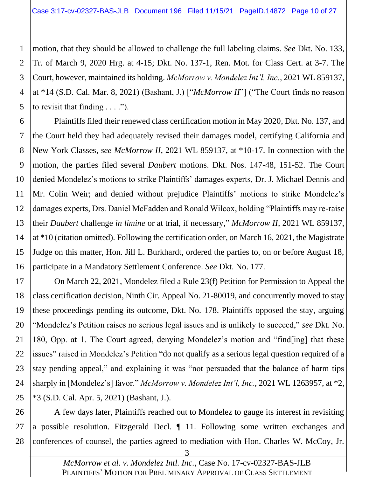1 2 3 4 5 motion, that they should be allowed to challenge the full labeling claims. *See* Dkt. No. 133, Tr. of March 9, 2020 Hrg. at 4-15; Dkt. No. 137-1, Ren. Mot. for Class Cert. at 3-7. The Court, however, maintained its holding. *McMorrow v. Mondelez Int'l, Inc.*, 2021 WL 859137, at \*14 (S.D. Cal. Mar. 8, 2021) (Bashant, J.) ["*McMorrow II*"] ("The Court finds no reason to revisit that finding  $\dots$ .").

6 7 8 9 10 11 12 13 14 15 16 Plaintiffs filed their renewed class certification motion in May 2020, Dkt. No. 137, and the Court held they had adequately revised their damages model, certifying California and New York Classes, *see McMorrow II*, 2021 WL 859137, at \*10-17. In connection with the motion, the parties filed several *Daubert* motions. Dkt. Nos. 147-48, 151-52. The Court denied Mondelez's motions to strike Plaintiffs' damages experts, Dr. J. Michael Dennis and Mr. Colin Weir; and denied without prejudice Plaintiffs' motions to strike Mondelez's damages experts, Drs. Daniel McFadden and Ronald Wilcox, holding "Plaintiffs may re-raise their *Daubert* challenge *in limine* or at trial, if necessary," *McMorrow II*, 2021 WL 859137, at \*10 (citation omitted). Following the certification order, on March 16, 2021, the Magistrate Judge on this matter, Hon. Jill L. Burkhardt, ordered the parties to, on or before August 18, participate in a Mandatory Settlement Conference. *See* Dkt. No. 177.

17 18 19 20 21 22 23 24 25 On March 22, 2021, Mondelez filed a Rule 23(f) Petition for Permission to Appeal the class certification decision, Ninth Cir. Appeal No. 21-80019, and concurrently moved to stay these proceedings pending its outcome, Dkt. No. 178. Plaintiffs opposed the stay, arguing "Mondelez's Petition raises no serious legal issues and is unlikely to succeed," *see* Dkt. No. 180, Opp. at 1. The Court agreed, denying Mondelez's motion and "find[ing] that these issues" raised in Mondelez's Petition "do not qualify as a serious legal question required of a stay pending appeal," and explaining it was "not persuaded that the balance of harm tips sharply in [Mondelez's] favor." *McMorrow v. Mondelez Int'l, Inc.*, 2021 WL 1263957, at \*2, \*3 (S.D. Cal. Apr. 5, 2021) (Bashant, J.).

26 27 28 A few days later, Plaintiffs reached out to Mondelez to gauge its interest in revisiting a possible resolution. Fitzgerald Decl. ¶ 11. Following some written exchanges and conferences of counsel, the parties agreed to mediation with Hon. Charles W. McCoy, Jr.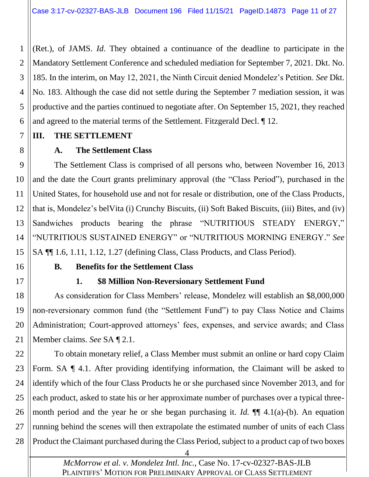1 2 3 4 5 6 (Ret.), of JAMS. *Id*. They obtained a continuance of the deadline to participate in the Mandatory Settlement Conference and scheduled mediation for September 7, 2021. Dkt. No. 185. In the interim, on May 12, 2021, the Ninth Circuit denied Mondelez's Petition. *See* Dkt. No. 183. Although the case did not settle during the September 7 mediation session, it was productive and the parties continued to negotiate after. On September 15, 2021, they reached and agreed to the material terms of the Settlement. Fitzgerald Decl. ¶ 12.

#### <span id="page-10-0"></span>7 **III. THE SETTLEMENT**

## **A. The Settlement Class**

9 10 11 12 13 14 15 The Settlement Class is comprised of all persons who, between November 16, 2013 and the date the Court grants preliminary approval (the "Class Period"), purchased in the United States, for household use and not for resale or distribution, one of the Class Products, that is, Mondelez's belVita (i) Crunchy Biscuits, (ii) Soft Baked Biscuits, (iii) Bites, and (iv) Sandwiches products bearing the phrase "NUTRITIOUS STEADY ENERGY," "NUTRITIOUS SUSTAINED ENERGY" or "NUTRITIOUS MORNING ENERGY." *See*  SA ¶¶ 1.6, 1.11, 1.12, 1.27 (defining Class, Class Products, and Class Period).

<span id="page-10-2"></span>16

<span id="page-10-1"></span>8

<span id="page-10-3"></span>17

## **B. Benefits for the Settlement Class**

## **1. \$8 Million Non-Reversionary Settlement Fund**

18 19 20 21 As consideration for Class Members' release, Mondelez will establish an \$8,000,000 non-reversionary common fund (the "Settlement Fund") to pay Class Notice and Claims Administration; Court-approved attorneys' fees, expenses, and service awards; and Class Member claims. *See* SA ¶ 2.1.

22 23 24 25 26 27 28 To obtain monetary relief, a Class Member must submit an online or hard copy Claim Form. SA  $\P$  4.1. After providing identifying information, the Claimant will be asked to identify which of the four Class Products he or she purchased since November 2013, and for each product, asked to state his or her approximate number of purchases over a typical threemonth period and the year he or she began purchasing it. *Id.* ¶¶ 4.1(a)-(b). An equation running behind the scenes will then extrapolate the estimated number of units of each Class Product the Claimant purchased during the Class Period, subject to a product cap of two boxes

> *McMorrow et al. v. Mondelez Intl. Inc.*, Case No. 17-cv-02327-BAS-JLB PLAINTIFFS' MOTION FOR PRELIMINARY APPROVAL OF CLASS SETTLEMENT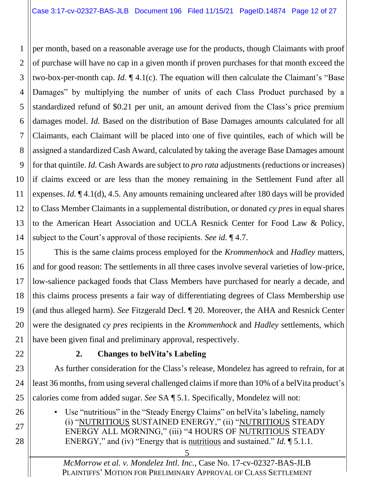1 2 3 4 5 6 7 8 9 10 11 12 13 14 per month, based on a reasonable average use for the products, though Claimants with proof of purchase will have no cap in a given month if proven purchases for that month exceed the two-box-per-month cap. *Id.* ¶ 4.1(c). The equation will then calculate the Claimant's "Base Damages" by multiplying the number of units of each Class Product purchased by a standardized refund of \$0.21 per unit, an amount derived from the Class's price premium damages model. *Id.* Based on the distribution of Base Damages amounts calculated for all Claimants, each Claimant will be placed into one of five quintiles, each of which will be assigned a standardized Cash Award, calculated by taking the average Base Damages amount for that quintile. *Id.* Cash Awards are subject to *pro rata* adjustments (reductions or increases) if claims exceed or are less than the money remaining in the Settlement Fund after all expenses. *Id.*  $\P$  4.1(d), 4.5. Any amounts remaining uncleared after 180 days will be provided to Class Member Claimants in a supplemental distribution, or donated *cy pres* in equal shares to the American Heart Association and UCLA Resnick Center for Food Law & Policy, subject to the Court's approval of those recipients. *See id.* ¶ 4.7.

15 16 17 18 19 20 21 This is the same claims process employed for the *Krommenhock* and *Hadley* matters, and for good reason: The settlements in all three cases involve several varieties of low-price, low-salience packaged foods that Class Members have purchased for nearly a decade, and this claims process presents a fair way of differentiating degrees of Class Membership use (and thus alleged harm). *See* Fitzgerald Decl. ¶ 20. Moreover, the AHA and Resnick Center were the designated *cy pres* recipients in the *Krommenhock* and *Hadley* settlements, which have been given final and preliminary approval, respectively.

<span id="page-11-0"></span>22

26

27

28

## **2. Changes to belVita's Labeling**

23 24 25 As further consideration for the Class's release, Mondelez has agreed to refrain, for at least 36 months, from using several challenged claims if more than 10% of a belVita product's calories come from added sugar. *See* SA ¶ 5.1. Specifically, Mondelez will not:

• Use "nutritious" in the "Steady Energy Claims" on belVita's labeling, namely (i) "NUTRITIOUS SUSTAINED ENERGY," (ii) "NUTRITIOUS STEADY ENERGY ALL MORNING," (iii) "4 HOURS OF NUTRITIOUS STEADY ENERGY," and (iv) "Energy that is nutritious and sustained." *Id.* ¶ 5.1.1.

> *McMorrow et al. v. Mondelez Intl. Inc.*, Case No. 17-cv-02327-BAS-JLB PLAINTIFFS' MOTION FOR PRELIMINARY APPROVAL OF CLASS SETTLEMENT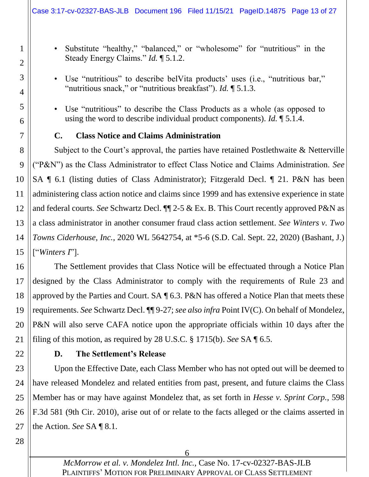• Substitute "healthy," "balanced," or "wholesome" for "nutritious" in the Steady Energy Claims." *Id.* ¶ 5.1.2.

- Use "nutritious" to describe belVita products' uses (i.e., "nutritious bar," "nutritious snack," or "nutritious breakfast"). *Id.* ¶ 5.1.3.
- Use "nutritious" to describe the Class Products as a whole (as opposed to using the word to describe individual product components). *Id.* ¶ 5.1.4.

#### **C. Class Notice and Claims Administration**

8 9 10 11 12 13 14 15 Subject to the Court's approval, the parties have retained Postlethwaite & Netterville ("P&N") as the Class Administrator to effect Class Notice and Claims Administration. *See*  SA ¶ 6.1 (listing duties of Class Administrator); Fitzgerald Decl. ¶ 21. P&N has been administering class action notice and claims since 1999 and has extensive experience in state and federal courts. *See* Schwartz Decl. ¶¶ 2-5 & Ex. B. This Court recently approved P&N as a class administrator in another consumer fraud class action settlement. *See Winters v. Two Towns Ciderhouse, Inc.*, 2020 WL 5642754, at \*5-6 (S.D. Cal. Sept. 22, 2020) (Bashant, J.) ["*Winters I*"].

16 17 18 19 20 21 The Settlement provides that Class Notice will be effectuated through a Notice Plan designed by the Class Administrator to comply with the requirements of Rule 23 and approved by the Parties and Court. SA ¶ 6.3. P&N has offered a Notice Plan that meets these requirements. *See* Schwartz Decl. ¶¶ 9-27; *see also infra* Point IV(C). On behalf of Mondelez, P&N will also serve CAFA notice upon the appropriate officials within 10 days after the filing of this motion, as required by 28 U.S.C. § 1715(b). *See* SA ¶ 6.5.

<span id="page-12-1"></span>22

1

2

3

4

5

6

<span id="page-12-0"></span>7

#### **D. The Settlement's Release**

23 24 25 26 27 Upon the Effective Date, each Class Member who has not opted out will be deemed to have released Mondelez and related entities from past, present, and future claims the Class Member has or may have against Mondelez that, as set forth in *Hesse v. Sprint Corp.*, 598 F.3d 581 (9th Cir. 2010), arise out of or relate to the facts alleged or the claims asserted in the Action. *See* SA ¶ 8.1.

<span id="page-12-2"></span>28

6

*McMorrow et al. v. Mondelez Intl. Inc.*, Case No. 17-cv-02327-BAS-JLB PLAINTIFFS' MOTION FOR PRELIMINARY APPROVAL OF CLASS SETTLEMENT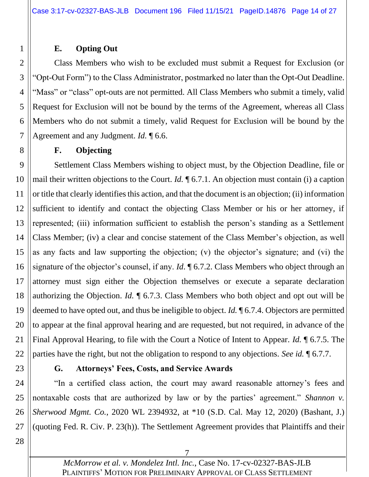#### **E. Opting Out**

1

<span id="page-13-0"></span>8

2 3 4 5 6 7 Class Members who wish to be excluded must submit a Request for Exclusion (or "Opt-Out Form") to the Class Administrator, postmarked no later than the Opt-Out Deadline. "Mass" or "class" opt-outs are not permitted. All Class Members who submit a timely, valid Request for Exclusion will not be bound by the terms of the Agreement, whereas all Class Members who do not submit a timely, valid Request for Exclusion will be bound by the Agreement and any Judgment. *Id.* ¶ 6.6.

#### **F. Objecting**

9 10 11 12 13 14 15 16 17 18 19 20 21 22 Settlement Class Members wishing to object must, by the Objection Deadline, file or mail their written objections to the Court. *Id.* ¶ 6.7.1. An objection must contain (i) a caption or title that clearly identifies this action, and that the document is an objection; (ii) information sufficient to identify and contact the objecting Class Member or his or her attorney, if represented; (iii) information sufficient to establish the person's standing as a Settlement Class Member; (iv) a clear and concise statement of the Class Member's objection, as well as any facts and law supporting the objection; (v) the objector's signature; and (vi) the signature of the objector's counsel, if any. *Id*. ¶ 6.7.2. Class Members who object through an attorney must sign either the Objection themselves or execute a separate declaration authorizing the Objection. *Id.* ¶ 6.7.3. Class Members who both object and opt out will be deemed to have opted out, and thus be ineligible to object. *Id.* ¶ 6.7.4. Objectors are permitted to appear at the final approval hearing and are requested, but not required, in advance of the Final Approval Hearing, to file with the Court a Notice of Intent to Appear. *Id.* ¶ 6.7.5. The parties have the right, but not the obligation to respond to any objections. *See id.* ¶ 6.7.7.

#### <span id="page-13-1"></span>**G. Attorneys' Fees, Costs, and Service Awards**

24 25 26 27 "In a certified class action, the court may award reasonable attorney's fees and nontaxable costs that are authorized by law or by the parties' agreement." *Shannon v. Sherwood Mgmt. Co.*, 2020 WL 2394932, at \*10 (S.D. Cal. May 12, 2020) (Bashant, J.) (quoting Fed. R. Civ. P. 23(h)). The Settlement Agreement provides that Plaintiffs and their

28

7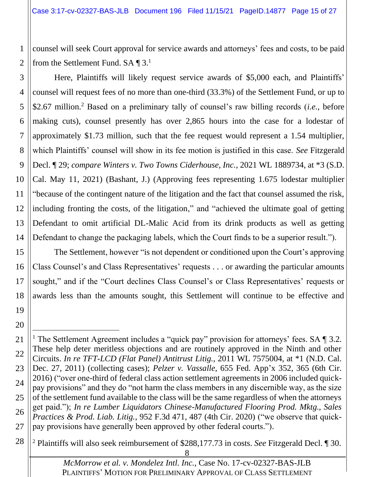1 2 counsel will seek Court approval for service awards and attorneys' fees and costs, to be paid from the Settlement Fund.  $SA \P 3$ <sup>1</sup>

Here, Plaintiffs will likely request service awards of \$5,000 each, and Plaintiffs'

3 4

5 6 7 8 9 10 11 12 13 14 counsel will request fees of no more than one-third (33.3%) of the Settlement Fund, or up to \$2.67 million.<sup>2</sup> Based on a preliminary tally of counsel's raw billing records (*i.e.*, before making cuts), counsel presently has over 2,865 hours into the case for a lodestar of approximately \$1.73 million, such that the fee request would represent a 1.54 multiplier, which Plaintiffs' counsel will show in its fee motion is justified in this case. *See* Fitzgerald Decl. ¶ 29; *compare Winters v. Two Towns Ciderhouse, Inc.*, 2021 WL 1889734, at \*3 (S.D. Cal. May 11, 2021) (Bashant, J.) (Approving fees representing 1.675 lodestar multiplier "because of the contingent nature of the litigation and the fact that counsel assumed the risk, including fronting the costs, of the litigation," and "achieved the ultimate goal of getting Defendant to omit artificial DL-Malic Acid from its drink products as well as getting Defendant to change the packaging labels, which the Court finds to be a superior result.").

15 16 17 18 The Settlement, however "is not dependent or conditioned upon the Court's approving Class Counsel's and Class Representatives' requests . . . or awarding the particular amounts sought," and if the "Court declines Class Counsel's or Class Representatives' requests or awards less than the amounts sought, this Settlement will continue to be effective and

19 20

21 22 23 24 25 26 27 <sup>1</sup> The Settlement Agreement includes a "quick pay" provision for attorneys' fees. SA  $\P$  3.2. These help deter meritless objections and are routinely approved in the Ninth and other Circuits. *In re TFT-LCD (Flat Panel) Antitrust Litig.*, 2011 WL 7575004, at \*1 (N.D. Cal. Dec. 27, 2011) (collecting cases); *Pelzer v. Vassalle*, 655 Fed. App'x 352, 365 (6th Cir. 2016) ("over one-third of federal class action settlement agreements in 2006 included quickpay provisions" and they do "not harm the class members in any discernible way, as the size of the settlement fund available to the class will be the same regardless of when the attorneys get paid."); *In re Lumber Liquidators Chinese-Manufactured Flooring Prod. Mktg., Sales Practices & Prod. Liab. Litig.*, 952 F.3d 471, 487 (4th Cir. 2020) ("we observe that quickpay provisions have generally been approved by other federal courts.").

28 <sup>2</sup> Plaintiffs will also seek reimbursement of \$288,177.73 in costs. *See* Fitzgerald Decl. ¶ 30.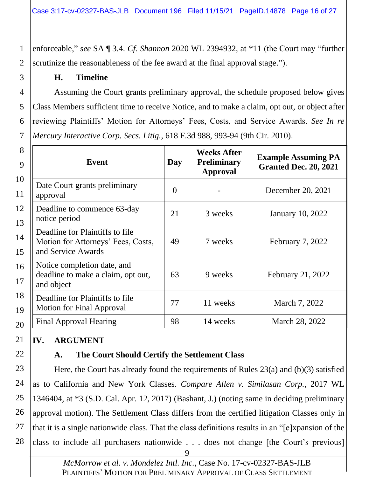enforceable," *see* SA ¶ 3.4. *Cf. Shannon* 2020 WL 2394932, at \*11 (the Court may "further scrutinize the reasonableness of the fee award at the final approval stage.").

#### **H. Timeline**

1

2

<span id="page-15-0"></span>3

4

5

6

7

Assuming the Court grants preliminary approval, the schedule proposed below gives Class Members sufficient time to receive Notice, and to make a claim, opt out, or object after reviewing Plaintiffs' Motion for Attorneys' Fees, Costs, and Service Awards. *See In re Mercury Interactive Corp. Secs. Litig.*, 618 F.3d 988, 993-94 (9th Cir. 2010).

| 8<br>9   | <b>Event</b>                                                                                | Day | <b>Weeks After</b><br><b>Preliminary</b><br><b>Approval</b> | <b>Example Assuming PA</b><br><b>Granted Dec. 20, 2021</b> |
|----------|---------------------------------------------------------------------------------------------|-----|-------------------------------------------------------------|------------------------------------------------------------|
| 10<br>11 | Date Court grants preliminary<br>approval                                                   | 0   |                                                             | December 20, 2021                                          |
| 12<br>13 | Deadline to commence 63-day<br>notice period                                                | 21  | 3 weeks                                                     | <b>January 10, 2022</b>                                    |
| 14<br>15 | Deadline for Plaintiffs to file<br>Motion for Attorneys' Fees, Costs,<br>and Service Awards | 49  | 7 weeks                                                     | February 7, 2022                                           |
| 16<br>17 | Notice completion date, and<br>deadline to make a claim, opt out,<br>and object             | 63  | 9 weeks                                                     | February 21, 2022                                          |
| 18<br>19 | Deadline for Plaintiffs to file<br><b>Motion for Final Approval</b>                         | 77  | 11 weeks                                                    | March 7, 2022                                              |
| 20       | Final Approval Hearing                                                                      | 98  | 14 weeks                                                    | March 28, 2022                                             |

#### <span id="page-15-1"></span>21 **IV. ARGUMENT**

<span id="page-15-2"></span>22

## **A. The Court Should Certify the Settlement Class**

23 24 25 26 27 28 Here, the Court has already found the requirements of Rules 23(a) and (b)(3) satisfied as to California and New York Classes. *Compare Allen v. Similasan Corp.*, 2017 WL 1346404, at \*3 (S.D. Cal. Apr. 12, 2017) (Bashant, J.) (noting same in deciding preliminary approval motion). The Settlement Class differs from the certified litigation Classes only in that it is a single nationwide class. That the class definitions results in an "[e]xpansion of the class to include all purchasers nationwide . . . does not change [the Court's previous]

> *McMorrow et al. v. Mondelez Intl. Inc.*, Case No. 17-cv-02327-BAS-JLB PLAINTIFFS' MOTION FOR PRELIMINARY APPROVAL OF CLASS SETTLEMENT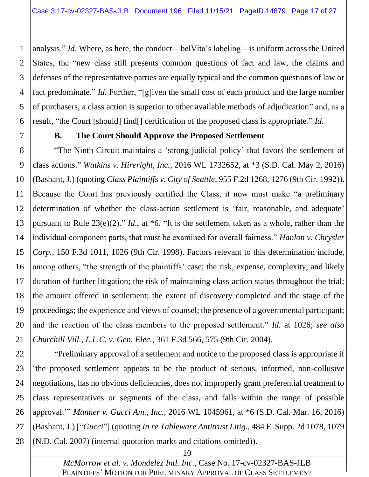1 2 3 4 5 6 analysis." *Id*. Where, as here, the conduct—belVita's labeling—is uniform across the United States, the "new class still presents common questions of fact and law, the claims and defenses of the representative parties are equally typical and the common questions of law or fact predominate." *Id*. Further, "[g]iven the small cost of each product and the large number of purchasers, a class action is superior to other available methods of adjudication" and, as a result, "the Court [should] find[] certification of the proposed class is appropriate." *Id*.

#### **B. The Court Should Approve the Proposed Settlement**

<span id="page-16-0"></span>7

8 9 10 11 12 13 14 15 16 17 18 19 20 21 "The Ninth Circuit maintains a 'strong judicial policy' that favors the settlement of class actions." *Watkins v. Hireright, Inc.*, 2016 WL 1732652, at \*3 (S.D. Cal. May 2, 2016) (Bashant, J.) (quoting *Class Plaintiffs v. City of Seattle*, 955 F.2d 1268, 1276 (9th Cir. 1992)). Because the Court has previously certified the Class, it now must make "a preliminary determination of whether the class-action settlement is 'fair, reasonable, and adequate' pursuant to Rule 23(e)(2)." *Id*., at \*6. "It is the settlement taken as a whole, rather than the individual component parts, that must be examined for overall fairness." *Hanlon v. Chrysler Corp.*, 150 F.3d 1011, 1026 (9th Cir. 1998). Factors relevant to this determination include, among others, "the strength of the plaintiffs' case; the risk, expense, complexity, and likely duration of further litigation; the risk of maintaining class action status throughout the trial; the amount offered in settlement; the extent of discovery completed and the stage of the proceedings; the experience and views of counsel; the presence of a governmental participant; and the reaction of the class members to the proposed settlement." *Id.* at 1026; *see also Churchill Vill., L.L.C. v. Gen. Elec.*, 361 F.3d 566, 575 (9th Cir. 2004).

22 23 24 25 26 27 28 "Preliminary approval of a settlement and notice to the proposed class is appropriate if 'the proposed settlement appears to be the product of serious, informed, non-collusive negotiations, has no obvious deficiencies, does not improperly grant preferential treatment to class representatives or segments of the class, and falls within the range of possible approval.'" *Manner v. Gucci Am., Inc.*, 2016 WL 1045961, at \*6 (S.D. Cal. Mar. 16, 2016) (Bashant, J.) ["*Gucci*"] (quoting *In re Tableware Antitrust Litig.*, 484 F. Supp. 2d 1078, 1079 (N.D. Cal. 2007) (internal quotation marks and citations omitted)).

10

*McMorrow et al. v. Mondelez Intl. Inc.*, Case No. 17-cv-02327-BAS-JLB PLAINTIFFS' MOTION FOR PRELIMINARY APPROVAL OF CLASS SETTLEMENT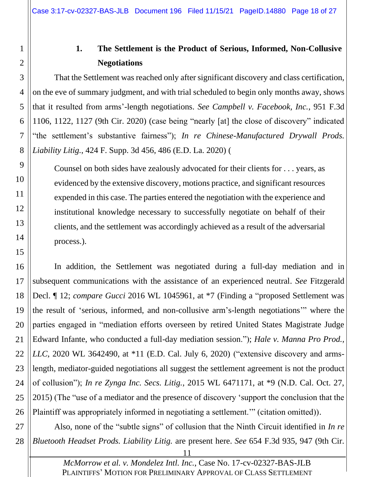# <span id="page-17-0"></span>1 2 3 4 5 6 7 8 9

10

11

12

13

## **1. The Settlement is the Product of Serious, Informed, Non-Collusive Negotiations**

That the Settlement was reached only after significant discovery and class certification, on the eve of summary judgment, and with trial scheduled to begin only months away, shows that it resulted from arms'-length negotiations. *See Campbell v. Facebook, Inc.*, 951 F.3d 1106, 1122, 1127 (9th Cir. 2020) (case being "nearly [at] the close of discovery" indicated "the settlement's substantive fairness"); *In re Chinese-Manufactured Drywall Prods. Liability Litig.*, 424 F. Supp. 3d 456, 486 (E.D. La. 2020) (

Counsel on both sides have zealously advocated for their clients for . . . years, as evidenced by the extensive discovery, motions practice, and significant resources expended in this case. The parties entered the negotiation with the experience and institutional knowledge necessary to successfully negotiate on behalf of their clients, and the settlement was accordingly achieved as a result of the adversarial process.).

15

14

16 17 18 19 20 21 22 23 24 25 26 In addition, the Settlement was negotiated during a full-day mediation and in subsequent communications with the assistance of an experienced neutral. *See* Fitzgerald Decl. ¶ 12; *compare Gucci* 2016 WL 1045961, at \*7 (Finding a "proposed Settlement was the result of 'serious, informed, and non-collusive arm's-length negotiations'" where the parties engaged in "mediation efforts overseen by retired United States Magistrate Judge Edward Infante, who conducted a full-day mediation session."); *Hale v. Manna Pro Prod., LLC*, 2020 WL 3642490, at \*11 (E.D. Cal. July 6, 2020) ("extensive discovery and armslength, mediator-guided negotiations all suggest the settlement agreement is not the product of collusion"); *In re Zynga Inc. Secs. Litig.*, 2015 WL 6471171, at \*9 (N.D. Cal. Oct. 27, 2015) (The "use of a mediator and the presence of discovery 'support the conclusion that the Plaintiff was appropriately informed in negotiating a settlement.'" (citation omitted)).

27 28 Also, none of the "subtle signs" of collusion that the Ninth Circuit identified in *In re Bluetooth Headset Prods. Liability Litig.* are present here. *See* 654 F.3d 935, 947 (9th Cir.

<sup>11</sup>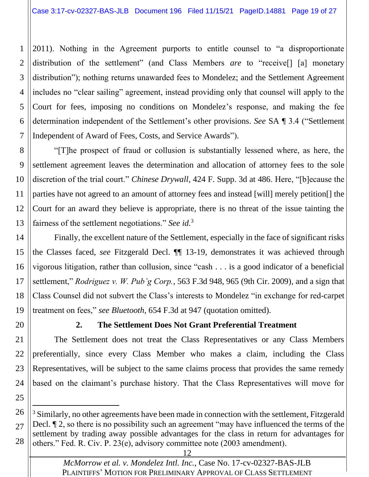1 2 3 4 5 6 7 2011). Nothing in the Agreement purports to entitle counsel to "a disproportionate distribution of the settlement" (and Class Members *are* to "receive[] [a] monetary distribution"); nothing returns unawarded fees to Mondelez; and the Settlement Agreement includes no "clear sailing" agreement, instead providing only that counsel will apply to the Court for fees, imposing no conditions on Mondelez's response, and making the fee determination independent of the Settlement's other provisions. *See* SA ¶ 3.4 ("Settlement Independent of Award of Fees, Costs, and Service Awards").

8 9 10 11 12 13 "[T]he prospect of fraud or collusion is substantially lessened where, as here, the settlement agreement leaves the determination and allocation of attorney fees to the sole discretion of the trial court." *Chinese Drywall*, 424 F. Supp. 3d at 486. Here, "[b]ecause the parties have not agreed to an amount of attorney fees and instead [will] merely petition[] the Court for an award they believe is appropriate, there is no threat of the issue tainting the fairness of the settlement negotiations." *See id.* 3

14 15 16 17 18 19 Finally, the excellent nature of the Settlement, especially in the face of significant risks the Classes faced, *see* Fitzgerald Decl. ¶¶ 13-19, demonstrates it was achieved through vigorous litigation, rather than collusion, since "cash . . . is a good indicator of a beneficial settlement," *Rodriguez v. W. Pub'g Corp.*, 563 F.3d 948, 965 (9th Cir. 2009), and a sign that Class Counsel did not subvert the Class's interests to Mondelez "in exchange for red-carpet treatment on fees," *see Bluetooth*, 654 F.3d at 947 (quotation omitted).

<span id="page-18-0"></span>20

## **2. The Settlement Does Not Grant Preferential Treatment**

21 22 23 24 The Settlement does not treat the Class Representatives or any Class Members preferentially, since every Class Member who makes a claim, including the Class Representatives, will be subject to the same claims process that provides the same remedy based on the claimant's purchase history. That the Class Representatives will move for

25

26 27 28  $3 \text{ Similarly, no other agreements have been made in connection with the settlement. Fitzgerald$ Decl.  $\P$  2, so there is no possibility such an agreement "may have influenced the terms of the settlement by trading away possible advantages for the class in return for advantages for others." Fed. R. Civ. P. 23(e), advisory committee note (2003 amendment).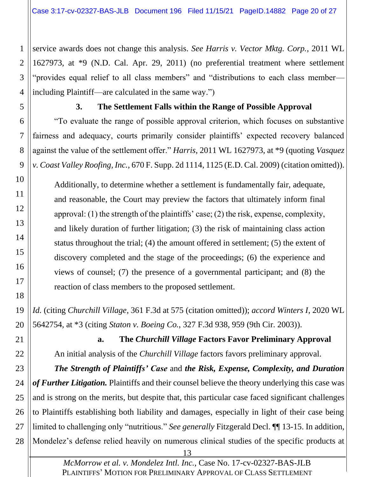1 2 3 4 service awards does not change this analysis. *See Harris v. Vector Mktg. Corp.*, 2011 WL 1627973, at \*9 (N.D. Cal. Apr. 29, 2011) (no preferential treatment where settlement "provides equal relief to all class members" and "distributions to each class member including Plaintiff—are calculated in the same way.")

<span id="page-19-0"></span>

5

10

11

12

13

14

15

16

17

18

## **3. The Settlement Falls within the Range of Possible Approval**

6 7 8 9 "To evaluate the range of possible approval criterion, which focuses on substantive fairness and adequacy, courts primarily consider plaintiffs' expected recovery balanced against the value of the settlement offer." *Harris*, 2011 WL 1627973, at \*9 (quoting *Vasquez v. Coast Valley Roofing, Inc.*, 670 F. Supp. 2d 1114, 1125 (E.D. Cal. 2009) (citation omitted)).

Additionally, to determine whether a settlement is fundamentally fair, adequate, and reasonable, the Court may preview the factors that ultimately inform final approval: (1) the strength of the plaintiffs' case; (2) the risk, expense, complexity, and likely duration of further litigation; (3) the risk of maintaining class action status throughout the trial; (4) the amount offered in settlement; (5) the extent of discovery completed and the stage of the proceedings; (6) the experience and views of counsel; (7) the presence of a governmental participant; and (8) the reaction of class members to the proposed settlement.

19 20 *Id.* (citing *Churchill Village*, 361 F.3d at 575 (citation omitted)); *accord Winters I*, 2020 WL 5642754, at \*3 (citing *Staton v. Boeing Co.*, 327 F.3d 938, 959 (9th Cir. 2003)).

<span id="page-19-1"></span>21

22

**a. The** *Churchill Village* **Factors Favor Preliminary Approval** An initial analysis of the *Churchill Village* factors favors preliminary approval.

23 24 25 26 27 28 *The Strength of Plaintiffs' Case* and *the Risk, Expense, Complexity, and Duration of Further Litigation.* Plaintiffs and their counsel believe the theory underlying this case was and is strong on the merits, but despite that, this particular case faced significant challenges to Plaintiffs establishing both liability and damages, especially in light of their case being limited to challenging only "nutritious." *See generally* Fitzgerald Decl. ¶¶ 13-15. In addition, Mondelez's defense relied heavily on numerous clinical studies of the specific products at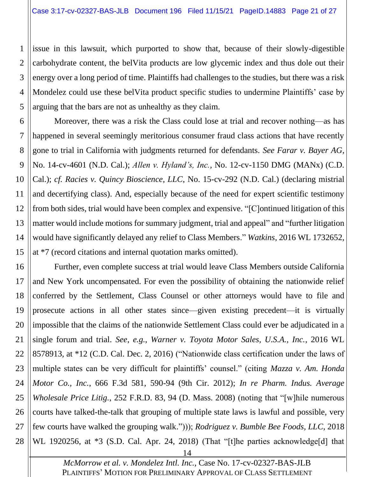1 2 3 4 5 issue in this lawsuit, which purported to show that, because of their slowly-digestible carbohydrate content, the belVita products are low glycemic index and thus dole out their energy over a long period of time. Plaintiffs had challenges to the studies, but there was a risk Mondelez could use these belVita product specific studies to undermine Plaintiffs' case by arguing that the bars are not as unhealthy as they claim.

6 7 8 9 10 11 12 13 14 15 Moreover, there was a risk the Class could lose at trial and recover nothing—as has happened in several seemingly meritorious consumer fraud class actions that have recently gone to trial in California with judgments returned for defendants. *See Farar v. Bayer AG*, No. 14-cv-4601 (N.D. Cal.); *Allen v. Hyland's, Inc.*, No. 12-cv-1150 DMG (MANx) (C.D. Cal.); *cf. Racies v. Quincy Bioscience, LLC*, No. 15-cv-292 (N.D. Cal.) (declaring mistrial and decertifying class). And, especially because of the need for expert scientific testimony from both sides, trial would have been complex and expensive. "[C]ontinued litigation of this matter would include motions for summary judgment, trial and appeal" and "further litigation would have significantly delayed any relief to Class Members." *Watkins*, 2016 WL 1732652, at \*7 (record citations and internal quotation marks omitted).

16 17 18 19 20 21 22 23 24 25 26 27 28 Further, even complete success at trial would leave Class Members outside California and New York uncompensated. For even the possibility of obtaining the nationwide relief conferred by the Settlement, Class Counsel or other attorneys would have to file and prosecute actions in all other states since—given existing precedent—it is virtually impossible that the claims of the nationwide Settlement Class could ever be adjudicated in a single forum and trial. *See*, *e.g.*, *Warner v. Toyota Motor Sales, U.S.A., Inc.*, 2016 WL 8578913, at \*12 (C.D. Cal. Dec. 2, 2016) ("Nationwide class certification under the laws of multiple states can be very difficult for plaintiffs' counsel." (citing *Mazza v. Am. Honda Motor Co., Inc.*, 666 F.3d 581, 590-94 (9th Cir. 2012); *In re Pharm. Indus. Average Wholesale Price Litig.*, 252 F.R.D. 83, 94 (D. Mass. 2008) (noting that "[w]hile numerous courts have talked-the-talk that grouping of multiple state laws is lawful and possible, very few courts have walked the grouping walk."))); *Rodriguez v. Bumble Bee Foods, LLC*, 2018 WL 1920256, at \*3 (S.D. Cal. Apr. 24, 2018) (That "[t]he parties acknowledge[d] that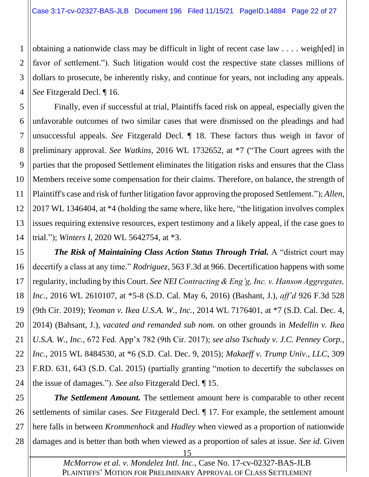1 2 3 4 obtaining a nationwide class may be difficult in light of recent case law . . . . weigh[ed] in favor of settlement."). Such litigation would cost the respective state classes millions of dollars to prosecute, be inherently risky, and continue for years, not including any appeals. *See* Fitzgerald Decl. ¶ 16.

5 6 7 8 9 10 11 12 13 14 Finally, even if successful at trial, Plaintiffs faced risk on appeal, especially given the unfavorable outcomes of two similar cases that were dismissed on the pleadings and had unsuccessful appeals. *See* Fitzgerald Decl. ¶ 18. These factors thus weigh in favor of preliminary approval. *See Watkins*, 2016 WL 1732652, at \*7 ("The Court agrees with the parties that the proposed Settlement eliminates the litigation risks and ensures that the Class Members receive some compensation for their claims. Therefore, on balance, the strength of Plaintiff's case and risk of further litigation favor approving the proposed Settlement."); *Allen*, 2017 WL 1346404, at \*4 (holding the same where, like here, "the litigation involves complex issues requiring extensive resources, expert testimony and a likely appeal, if the case goes to trial."); *Winters I*, 2020 WL 5642754, at \*3.

15 16 17 18 19 20 21 22 23 24 **The Risk of Maintaining Class Action Status Through Trial.** A "district court may decertify a class at any time." *Rodriguez*, 563 F.3d at 966. Decertification happens with some regularity, including by this Court. *See NEI Contracting & Eng'g, Inc. v. Hanson Aggregates, Inc.*, 2016 WL 2610107, at \*5-8 (S.D. Cal. May 6, 2016) (Bashant, J.), *aff'd* 926 F.3d 528 (9th Cir. 2019); *Yeoman v. Ikea U.S.A. W., Inc.*, 2014 WL 7176401, at \*7 (S.D. Cal. Dec. 4, 2014) (Bahsant, J.), *vacated and remanded sub nom.* on other grounds in *Medellin v. Ikea U.S.A. W., Inc.*, 672 Fed. App'x 782 (9th Cir. 2017); *see also Tschudy v. J.C. Penney Corp., Inc.*, 2015 WL 8484530, at \*6 (S.D. Cal. Dec. 9, 2015); *Makaeff v. Trump Univ., LLC*, 309 F.RD. 631, 643 (S.D. Cal. 2015) (partially granting "motion to decertify the subclasses on the issue of damages."). *See also* Fitzgerald Decl. ¶ 15.

25 26 27 28 *The Settlement Amount.* The settlement amount here is comparable to other recent settlements of similar cases. *See* Fitzgerald Decl. ¶ 17. For example, the settlement amount here falls in between *Krommenhock* and *Hadley* when viewed as a proportion of nationwide damages and is better than both when viewed as a proportion of sales at issue. *See id.* Given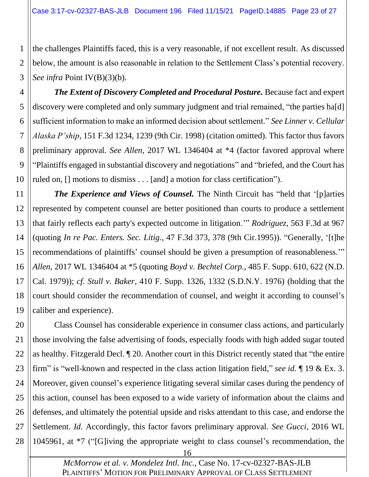1 2 3 the challenges Plaintiffs faced, this is a very reasonable, if not excellent result. As discussed below, the amount is also reasonable in relation to the Settlement Class's potential recovery. *See infra* Point IV(B)(3)(b).

4 5 6 7 8 9 10 **The Extent of Discovery Completed and Procedural Posture.** Because fact and expert discovery were completed and only summary judgment and trial remained, "the parties ha[d] sufficient information to make an informed decision about settlement." *See Linner v. Cellular Alaska P'ship*, 151 F.3d 1234, 1239 (9th Cir. 1998) (citation omitted). This factor thus favors preliminary approval. *See Allen*, 2017 WL 1346404 at \*4 (factor favored approval where "Plaintiffs engaged in substantial discovery and negotiations" and "briefed, and the Court has ruled on, [] motions to dismiss . . . [and] a motion for class certification").

11 12 13 14 15 16 17 18 19 *The Experience and Views of Counsel.* The Ninth Circuit has "held that '[p]arties represented by competent counsel are better positioned than courts to produce a settlement that fairly reflects each party's expected outcome in litigation.'" *Rodriguez*, 563 F.3d at 967 (quoting *In re Pac. Enters. Sec. Litig.*, 47 F.3d 373, 378 (9th Cir.1995)). "Generally, '[t]he recommendations of plaintiffs' counsel should be given a presumption of reasonableness.'" *Allen*, 2017 WL 1346404 at \*5 (quoting *Boyd v. Bechtel Corp.*, 485 F. Supp. 610, 622 (N.D. Cal. 1979)); *cf. Stull v. Baker*, 410 F. Supp. 1326, 1332 (S.D.N.Y. 1976) (holding that the court should consider the recommendation of counsel, and weight it according to counsel's caliber and experience).

20 21 22 23 24 25 26 27 28 Class Counsel has considerable experience in consumer class actions, and particularly those involving the false advertising of foods, especially foods with high added sugar touted as healthy. Fitzgerald Decl. ¶ 20. Another court in this District recently stated that "the entire firm" is "well-known and respected in the class action litigation field," *see id.* ¶ 19 & Ex. 3. Moreover, given counsel's experience litigating several similar cases during the pendency of this action, counsel has been exposed to a wide variety of information about the claims and defenses, and ultimately the potential upside and risks attendant to this case, and endorse the Settlement. *Id.* Accordingly, this factor favors preliminary approval. *See Gucci*, 2016 WL 1045961, at \*7 ("[G]iving the appropriate weight to class counsel's recommendation, the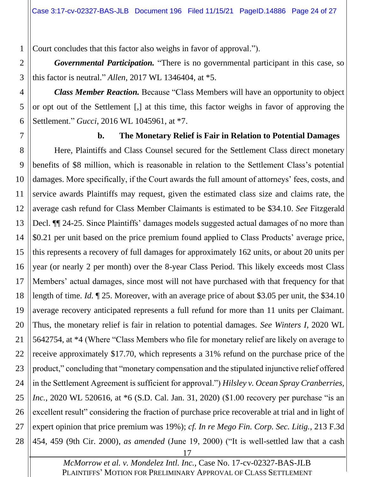Court concludes that this factor also weighs in favor of approval.").

*Governmental Participation.* "There is no governmental participant in this case, so this factor is neutral." *Allen*, 2017 WL 1346404, at \*5.

*Class Member Reaction.* Because "Class Members will have an opportunity to object or opt out of the Settlement [,] at this time, this factor weighs in favor of approving the Settlement." *Gucci*, 2016 WL 1045961, at \*7.

<span id="page-23-0"></span>7

1

2

3

4

5

6

#### **b. The Monetary Relief is Fair in Relation to Potential Damages**

8 9 10 11 12 13 14 15 16 17 18 19 20 21 22 23 24 25 26 27 28 Here, Plaintiffs and Class Counsel secured for the Settlement Class direct monetary benefits of \$8 million, which is reasonable in relation to the Settlement Class's potential damages. More specifically, if the Court awards the full amount of attorneys' fees, costs, and service awards Plaintiffs may request, given the estimated class size and claims rate, the average cash refund for Class Member Claimants is estimated to be \$34.10. *See* Fitzgerald Decl. ¶¶ 24-25. Since Plaintiffs' damages models suggested actual damages of no more than \$0.21 per unit based on the price premium found applied to Class Products' average price, this represents a recovery of full damages for approximately 162 units, or about 20 units per year (or nearly 2 per month) over the 8-year Class Period. This likely exceeds most Class Members' actual damages, since most will not have purchased with that frequency for that length of time. *Id.* ¶ 25. Moreover, with an average price of about \$3.05 per unit, the \$34.10 average recovery anticipated represents a full refund for more than 11 units per Claimant. Thus, the monetary relief is fair in relation to potential damages. *See Winters I*, 2020 WL 5642754, at \*4 (Where "Class Members who file for monetary relief are likely on average to receive approximately \$17.70, which represents a 31% refund on the purchase price of the product," concluding that "monetary compensation and the stipulated injunctive relief offered in the Settlement Agreement is sufficient for approval.") *Hilsley v. Ocean Spray Cranberries, Inc.*, 2020 WL 520616, at \*6 (S.D. Cal. Jan. 31, 2020) (\$1.00 recovery per purchase "is an excellent result" considering the fraction of purchase price recoverable at trial and in light of expert opinion that price premium was 19%); *cf. In re Mego Fin. Corp. Sec. Litig.*, 213 F.3d 454, 459 (9th Cir. 2000), *as amended* (June 19, 2000) ("It is well-settled law that a cash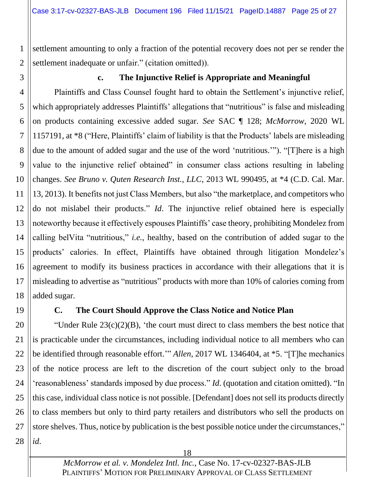settlement amounting to only a fraction of the potential recovery does not per se render the settlement inadequate or unfair." (citation omitted)).

<span id="page-24-0"></span>3

1

2

## **c. The Injunctive Relief is Appropriate and Meaningful**

4 5 6 7 8 9 10 11 12 13 14 15 16 17 18 Plaintiffs and Class Counsel fought hard to obtain the Settlement's injunctive relief, which appropriately addresses Plaintiffs' allegations that "nutritious" is false and misleading on products containing excessive added sugar. *See* SAC ¶ 128; *McMorrow*, 2020 WL 1157191, at \*8 ("Here, Plaintiffs' claim of liability is that the Products' labels are misleading due to the amount of added sugar and the use of the word 'nutritious.'"). "[T]here is a high value to the injunctive relief obtained" in consumer class actions resulting in labeling changes. *See Bruno v. Quten Research Inst., LLC*, 2013 WL 990495, at \*4 (C.D. Cal. Mar. 13, 2013). It benefits not just Class Members, but also "the marketplace, and competitors who do not mislabel their products." *Id*. The injunctive relief obtained here is especially noteworthy because it effectively espouses Plaintiffs' case theory, prohibiting Mondelez from calling belVita "nutritious," *i.e.*, healthy, based on the contribution of added sugar to the products' calories. In effect, Plaintiffs have obtained through litigation Mondelez's agreement to modify its business practices in accordance with their allegations that it is misleading to advertise as "nutritious" products with more than 10% of calories coming from added sugar.

<span id="page-24-1"></span>19

#### **C. The Court Should Approve the Class Notice and Notice Plan**

20 21 22 23 24 25 26 27 28 "Under Rule  $23(c)(2)(B)$ , 'the court must direct to class members the best notice that is practicable under the circumstances, including individual notice to all members who can be identified through reasonable effort.'" *Allen*, 2017 WL 1346404, at \*5. "[T]he mechanics of the notice process are left to the discretion of the court subject only to the broad 'reasonableness' standards imposed by due process." *Id*. (quotation and citation omitted). "In this case, individual class notice is not possible. [Defendant] does not sell its products directly to class members but only to third party retailers and distributors who sell the products on store shelves. Thus, notice by publication is the best possible notice under the circumstances," *id*.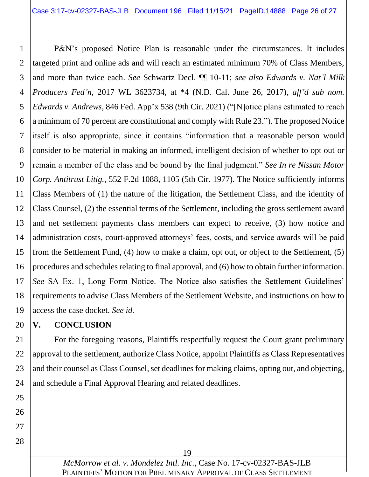1 2 3 4 5 6 7 8 9 10 11 12 13 14 15 16 17 18 19 P&N's proposed Notice Plan is reasonable under the circumstances. It includes targeted print and online ads and will reach an estimated minimum 70% of Class Members, and more than twice each. *See* Schwartz Decl. ¶¶ 10-11; *see also Edwards v. Nat'l Milk Producers Fed'n*, 2017 WL 3623734, at \*4 (N.D. Cal. June 26, 2017), *aff'd sub nom. Edwards v. Andrews*, 846 Fed. App'x 538 (9th Cir. 2021) ("[N]otice plans estimated to reach a minimum of 70 percent are constitutional and comply with Rule 23."). The proposed Notice itself is also appropriate, since it contains "information that a reasonable person would consider to be material in making an informed, intelligent decision of whether to opt out or remain a member of the class and be bound by the final judgment." *See In re Nissan Motor Corp. Antitrust Litig.*, 552 F.2d 1088, 1105 (5th Cir. 1977). The Notice sufficiently informs Class Members of (1) the nature of the litigation, the Settlement Class, and the identity of Class Counsel, (2) the essential terms of the Settlement, including the gross settlement award and net settlement payments class members can expect to receive, (3) how notice and administration costs, court-approved attorneys' fees, costs, and service awards will be paid from the Settlement Fund, (4) how to make a claim, opt out, or object to the Settlement, (5) procedures and schedules relating to final approval, and (6) how to obtain further information. *See* SA Ex. 1, Long Form Notice. The Notice also satisfies the Settlement Guidelines' requirements to advise Class Members of the Settlement Website, and instructions on how to access the case docket. *See id.*

#### <span id="page-25-0"></span>20 **V. CONCLUSION**

21 22 23 24 For the foregoing reasons, Plaintiffs respectfully request the Court grant preliminary approval to the settlement, authorize Class Notice, appoint Plaintiffs as Class Representatives and their counsel as Class Counsel, set deadlines for making claims, opting out, and objecting, and schedule a Final Approval Hearing and related deadlines.

25 26

27

28

*McMorrow et al. v. Mondelez Intl. Inc.*, Case No. 17-cv-02327-BAS-JLB PLAINTIFFS' MOTION FOR PRELIMINARY APPROVAL OF CLASS SETTLEMENT